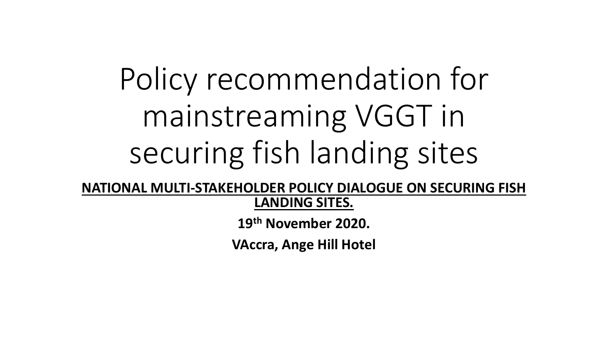# Policy recommendation for mainstreaming VGGT in securing fish landing sites

**NATIONAL MULTI-STAKEHOLDER POLICY DIALOGUE ON SECURING FISH LANDING SITES.**

**19th November 2020.**

**VAccra, Ange Hill Hotel**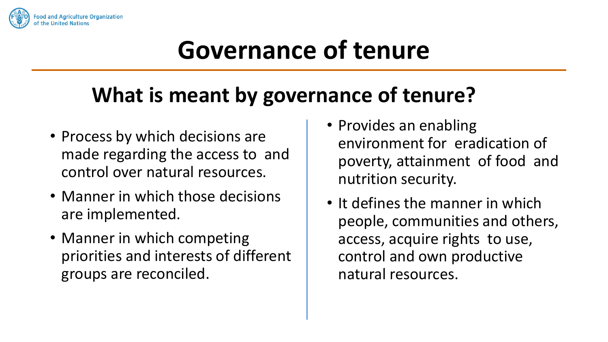

## **Governance of tenure**

#### **What is meant by governance of tenure?**

- Process by which decisions are made regarding the access to and control over natural resources.
- Manner in which those decisions are implemented.
- Manner in which competing priorities and interests of different groups are reconciled.
- Provides an enabling environment for eradication of poverty, attainment of food and nutrition security.
- It defines the manner in which people, communities and others, access, acquire rights to use, control and own productive natural resources.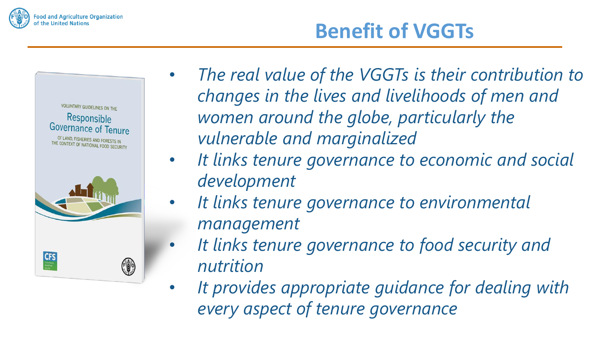

# VOLUNTARY GUIDELINES ON THE Responsible Governance of Tenure OF LAND, FISHERIES AND FORESTS IN THE CONTEXT OF NATIONAL FOOD SECURITY **CFS**

• *The real value of the VGGTs is their contribution to changes in the lives and livelihoods of men and women around the globe, particularly the vulnerable and marginalized*

**Benefit of VGGTs**

- *It links tenure governance to economic and social development*
- *It links tenure governance to environmental management*
- *It links tenure governance to food security and nutrition*
- *It provides appropriate guidance for dealing with every aspect of tenure governance*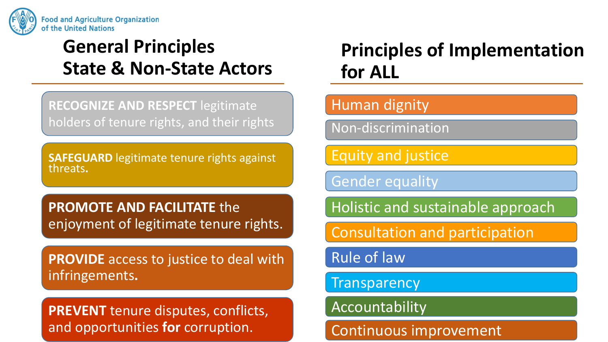

#### **General Principles State & Non-State Actors**

**RECOGNIZE AND RESPECT** legitimate holders of tenure rights, and their rights

**SAFEGUARD** legitimate tenure rights against threats**.**

**PROMOTE AND FACILITATE** the enjoyment of legitimate tenure rights.

**PROVIDE** access to justice to deal with infringements**.**

**PREVENT** tenure disputes, conflicts, and opportunities **for** corruption.

#### **Principles of Implementation for ALL**

#### Human dignity

Non-discrimination

Equity and justice

Gender equality

Holistic and sustainable approach

Consultation and participation

Rule of law

**Transparency** 

Accountability

Continuous improvement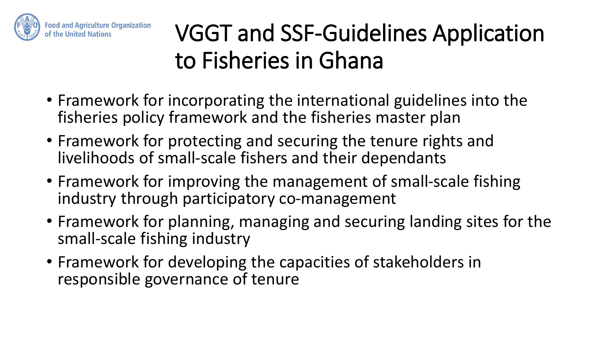

#### VGGT and SSF-Guidelines Application to Fisheries in Ghana

- Framework for incorporating the international guidelines into the fisheries policy framework and the fisheries master plan
- Framework for protecting and securing the tenure rights and livelihoods of small-scale fishers and their dependants
- Framework for improving the management of small-scale fishing industry through participatory co-management
- Framework for planning, managing and securing landing sites for the small-scale fishing industry
- Framework for developing the capacities of stakeholders in responsible governance of tenure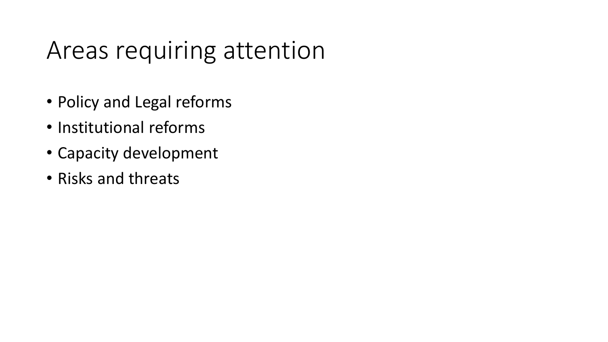#### Areas requiring attention

- Policy and Legal reforms
- Institutional reforms
- Capacity development
- Risks and threats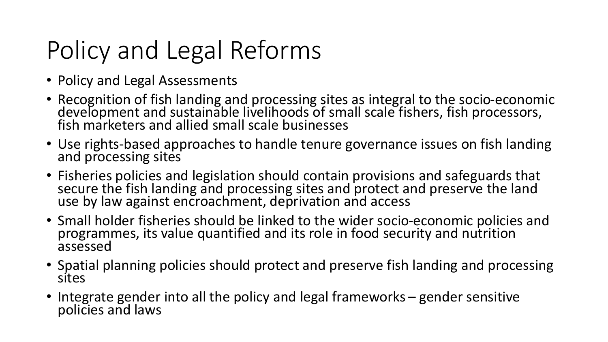# Policy and Legal Reforms

- Policy and Legal Assessments
- Recognition of fish landing and processing sites as integral to the socio-economic development and sustainable livelihoods of small scale fishers, fish processors, fish marketers and allied small scale businesses
- Use rights-based approaches to handle tenure governance issues on fish landing and processing sites
- Fisheries policies and legislation should contain provisions and safeguards that secure the fish landing and processing sites and protect and preserve the land use by law against encroachment, deprivation and access
- Small holder fisheries should be linked to the wider socio-economic policies and programmes, its value quantified and its role in food security and nutrition assessed
- Spatial planning policies should protect and preserve fish landing and processing sites
- Integrate gender into all the policy and legal frameworks gender sensitive policies and laws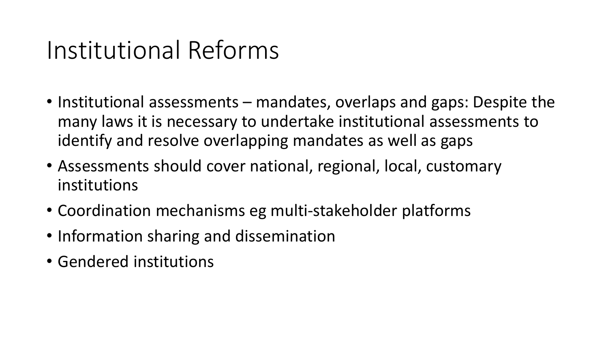#### Institutional Reforms

- Institutional assessments mandates, overlaps and gaps: Despite the many laws it is necessary to undertake institutional assessments to identify and resolve overlapping mandates as well as gaps
- Assessments should cover national, regional, local, customary institutions
- Coordination mechanisms eg multi-stakeholder platforms
- Information sharing and dissemination
- Gendered institutions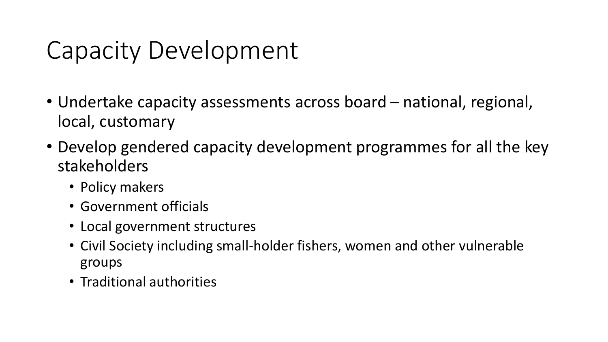## Capacity Development

- Undertake capacity assessments across board national, regional, local, customary
- Develop gendered capacity development programmes for all the key stakeholders
	- Policy makers
	- Government officials
	- Local government structures
	- Civil Society including small-holder fishers, women and other vulnerable groups
	- Traditional authorities